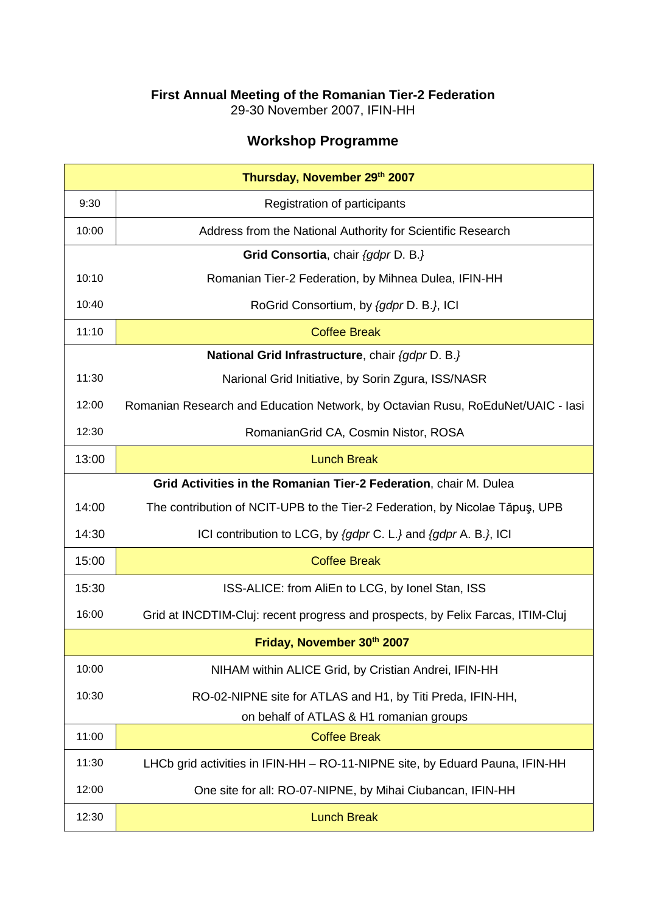## **First Annual Meeting of the Romanian Tier-2 Federation**

29-30 November 2007, IFIN-HH

## **Workshop Programme**

| Thursday, November 29th 2007 |                                                                                 |  |
|------------------------------|---------------------------------------------------------------------------------|--|
| 9:30                         | Registration of participants                                                    |  |
| 10:00                        | Address from the National Authority for Scientific Research                     |  |
|                              | Grid Consortia, chair {gdpr D. B.}                                              |  |
| 10:10                        | Romanian Tier-2 Federation, by Mihnea Dulea, IFIN-HH                            |  |
| 10:40                        | RoGrid Consortium, by {gdpr D. B.}, ICI                                         |  |
| 11:10                        | <b>Coffee Break</b>                                                             |  |
|                              | National Grid Infrastructure, chair {gdpr D. B.}                                |  |
| 11:30                        | Narional Grid Initiative, by Sorin Zgura, ISS/NASR                              |  |
| 12:00                        | Romanian Research and Education Network, by Octavian Rusu, RoEduNet/UAIC - lasi |  |
| 12:30                        | RomanianGrid CA, Cosmin Nistor, ROSA                                            |  |
| 13:00                        | <b>Lunch Break</b>                                                              |  |
|                              | Grid Activities in the Romanian Tier-2 Federation, chair M. Dulea               |  |
| 14:00                        | The contribution of NCIT-UPB to the Tier-2 Federation, by Nicolae Tăpuș, UPB    |  |
| 14:30                        | ICI contribution to LCG, by {gdpr C. L.} and {gdpr A. B.}, ICI                  |  |
| 15:00                        | <b>Coffee Break</b>                                                             |  |
| 15:30                        | ISS-ALICE: from AliEn to LCG, by Ionel Stan, ISS                                |  |
| 16:00                        | Grid at INCDTIM-Cluj: recent progress and prospects, by Felix Farcas, ITIM-Cluj |  |
| Friday, November 30th 2007   |                                                                                 |  |
| 10:00                        | NIHAM within ALICE Grid, by Cristian Andrei, IFIN-HH                            |  |
| 10:30                        | RO-02-NIPNE site for ATLAS and H1, by Titi Preda, IFIN-HH,                      |  |
|                              | on behalf of ATLAS & H1 romanian groups                                         |  |
| 11:00                        | <b>Coffee Break</b>                                                             |  |
| 11:30                        | LHCb grid activities in IFIN-HH - RO-11-NIPNE site, by Eduard Pauna, IFIN-HH    |  |
| 12:00                        | One site for all: RO-07-NIPNE, by Mihai Ciubancan, IFIN-HH                      |  |
| 12:30                        | <b>Lunch Break</b>                                                              |  |